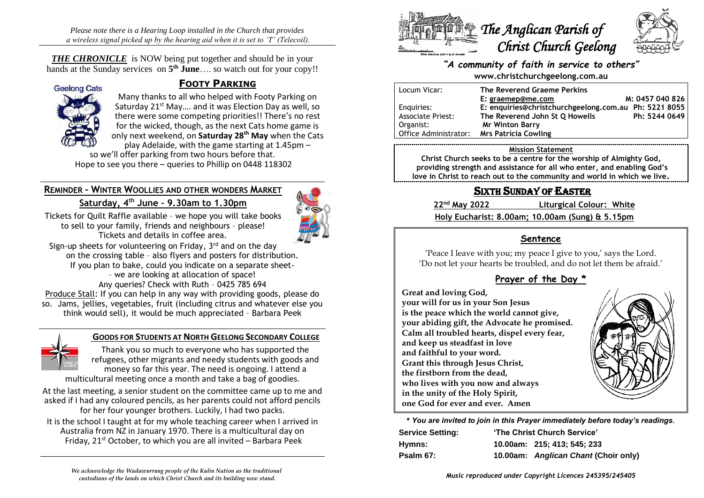*Please note there is a Hearing Loop installed in the Church that provides a wireless signal picked up by the hearing aid when it is set to 'T' (Telecoil).*

*THE CHRONICLE* is NOW being put together and should be in your hands at the Sunday services on **5 th June**…. so watch out for your copy!!



# **FOOTY PARKING**

Many thanks to all who helped with Footy Parking on Saturday 21<sup>st</sup> May.... and it was Election Day as well, so there were some competing priorities!! There's no rest for the wicked, though, as the next Cats home game is only next weekend, on **Saturday 28th May** when the Cats play Adelaide, with the game starting at 1.45pm –

so we'll offer parking from two hours before that. Hope to see you there – queries to Phillip on 0448 118302

# **REMINDER – WINTER WOOLLIES AND OTHER WONDERS MARKET Saturday, 4th June – 9.30am to 1.30pm**



Tickets for Quilt Raffle available – we hope you will take books to sell to your family, friends and neighbours – please! Tickets and details in coffee area.

Sign-up sheets for volunteering on Friday, 3<sup>rd</sup> and on the day on the crossing table – also flyers and posters for distribution. If you plan to bake, could you indicate on a separate sheet- – we are looking at allocation of space! Any queries? Check with Ruth – 0425 785 694

Produce Stall: If you can help in any way with providing goods, please do so. Jams, jellies, vegetables, fruit (including citrus and whatever else you think would sell), it would be much appreciated – Barbara Peek



# **GOODS FOR STUDENTS AT NORTH GEELONG SECONDARY COLLEGE**

Thank you so much to everyone who has supported the refugees, other migrants and needy students with goods and money so far this year. The need is ongoing. I attend a multicultural meeting once a month and take a bag of goodies.

At the last meeting, a senior student on the committee came up to me and asked if I had any coloured pencils, as her parents could not afford pencils for her four younger brothers. Luckily, I had two packs.

It is the school I taught at for my whole teaching career when I arrived in Australia from NZ in January 1970. There is a multicultural day on Friday,  $21^{st}$  October, to which you are all invited – Barbara Peek





#### *"A community of faith in service to others"* **www.christchurchgeelong.com.au**

| Locum Vicar:             | The Reverend Graeme Perkins                           |                 |
|--------------------------|-------------------------------------------------------|-----------------|
|                          | E: graemep@me.com                                     | M: 0457 040 826 |
| Enguiries:               | E: enquiries@christchurchgeelong.com.au Ph: 5221 8055 |                 |
| <b>Associate Priest:</b> | The Reverend John St Q Howells                        | Ph: 5244 0649   |
| Organist:                | <b>Mr Winton Barry</b>                                |                 |
| Office Administrator:    | <b>Mrs Patricia Cowling</b>                           |                 |

#### **Mission Statement**

**Christ Church seeks to be a centre for the worship of Almighty God, providing strength and assistance for all who enter, and enabling God's love in Christ to reach out to the community and world in which we live.**

# SIXTH SUNDAY OF EASTER

**22nd May 2022 Liturgical Colour: White**

**Holy Eucharist: 8.00am; 10.00am (Sung) & 5.15pm**

## **Sentence**

'Peace I leave with you; my peace I give to you,' says the Lord. 'Do not let your hearts be troubled, and do not let them be afraid.'

# **Prayer of the Day \***

**Great and loving God, your will for us in your Son Jesus is the peace which the world cannot give, your abiding gift, the Advocate he promised. Calm all troubled hearts, dispel every fear, and keep us steadfast in love and faithful to your word. Grant this through Jesus Christ, the firstborn from the dead, who lives with you now and always in the unity of the Holy Spirit, one God for ever and ever. Amen**



**\*** *You are invited to join in this Prayer immediately before today's readings.*

| 'The Christ Church Service'<br><b>Service Setting:</b> |  |                                      |
|--------------------------------------------------------|--|--------------------------------------|
| Hymns:                                                 |  | 10.00am: 215; 413; 545; 233          |
| Psalm 67:                                              |  | 10.00am: Anglican Chant (Choir only) |